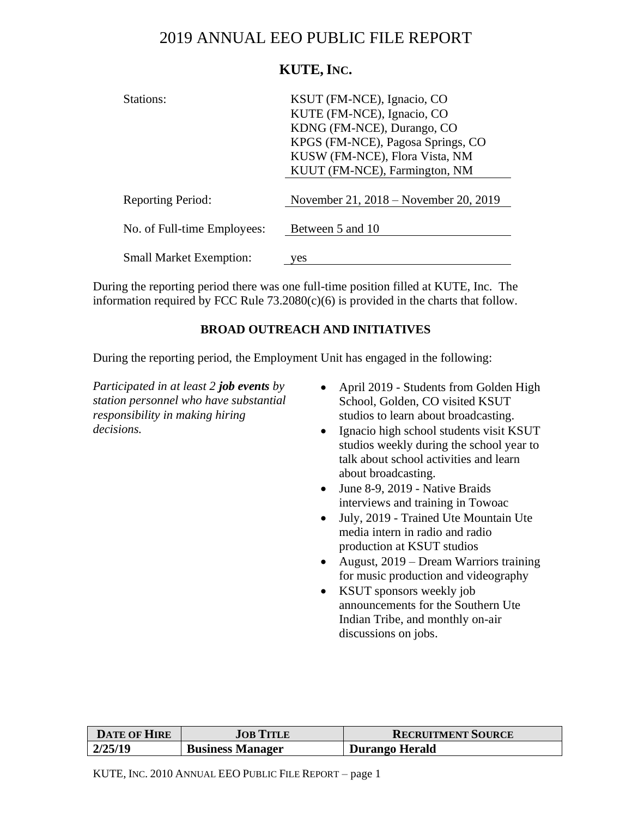# 2019 ANNUAL EEO PUBLIC FILE REPORT

# **KUTE, INC.**

| Stations:                      | KSUT (FM-NCE), Ignacio, CO<br>KUTE (FM-NCE), Ignacio, CO<br>KDNG (FM-NCE), Durango, CO<br>KPGS (FM-NCE), Pagosa Springs, CO<br>KUSW (FM-NCE), Flora Vista, NM<br>KUUT (FM-NCE), Farmington, NM |
|--------------------------------|------------------------------------------------------------------------------------------------------------------------------------------------------------------------------------------------|
| <b>Reporting Period:</b>       | November 21, 2018 – November 20, 2019                                                                                                                                                          |
| No. of Full-time Employees:    | Between 5 and 10                                                                                                                                                                               |
| <b>Small Market Exemption:</b> | 'es                                                                                                                                                                                            |

During the reporting period there was one full-time position filled at KUTE, Inc. The information required by FCC Rule  $73.2080(c)(6)$  is provided in the charts that follow.

## **BROAD OUTREACH AND INITIATIVES**

During the reporting period, the Employment Unit has engaged in the following:

*Participated in at least 2 job events by station personnel who have substantial responsibility in making hiring decisions.*

- April 2019 Students from Golden High School, Golden, CO visited KSUT studios to learn about broadcasting.
- Ignacio high school students visit KSUT studios weekly during the school year to talk about school activities and learn about broadcasting.
- June 8-9, 2019 Native Braids interviews and training in Towoac
- July, 2019 Trained Ute Mountain Ute media intern in radio and radio production at KSUT studios
- August, 2019 Dream Warriors training for music production and videography
- KSUT sponsors weekly job announcements for the Southern Ute Indian Tribe, and monthly on-air discussions on jobs.

| <b>DATE OF HIRE</b> | <b>JOB TITLE</b>        | <b>RECRUITMENT SOURCE</b> |
|---------------------|-------------------------|---------------------------|
| 2/25/19             | <b>Business Manager</b> | Durango Herald            |

KUTE, INC. 2010 ANNUAL EEO PUBLIC FILE REPORT – page 1